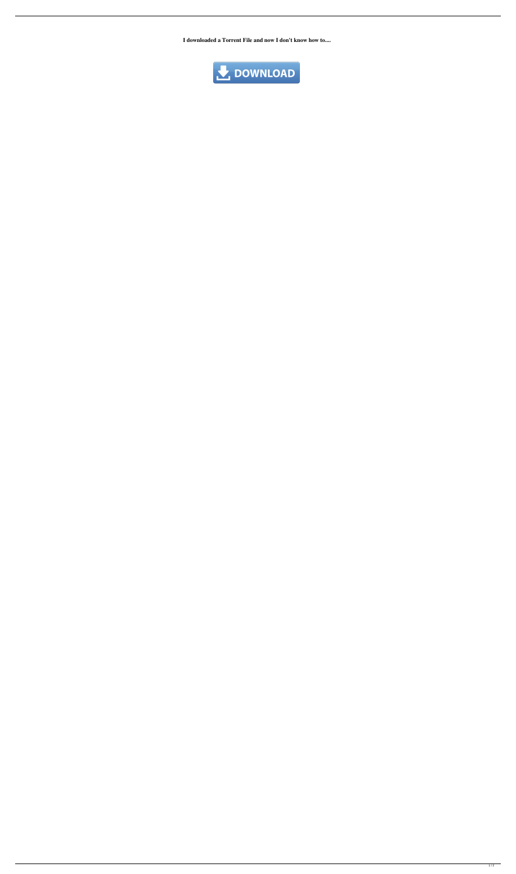**I downloaded a Torrent File and now I don't know how to....**